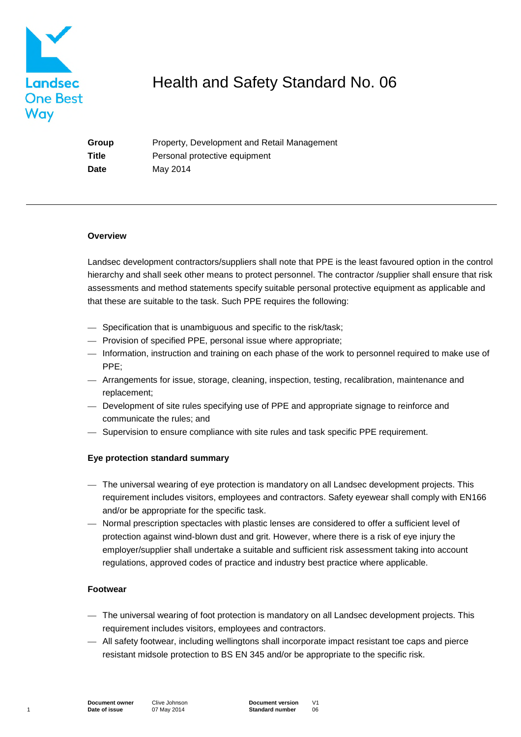

# Health and Safety Standard No. 06

**Group** Property, Development and Retail Management **Title** Personal protective equipment **Date** May 2014

#### **Overview**

Landsec development contractors/suppliers shall note that PPE is the least favoured option in the control hierarchy and shall seek other means to protect personnel. The contractor /supplier shall ensure that risk assessments and method statements specify suitable personal protective equipment as applicable and that these are suitable to the task. Such PPE requires the following:

- Specification that is unambiguous and specific to the risk/task;
- Provision of specified PPE, personal issue where appropriate;
- Information, instruction and training on each phase of the work to personnel required to make use of PPE;
- Arrangements for issue, storage, cleaning, inspection, testing, recalibration, maintenance and replacement;
- Development of site rules specifying use of PPE and appropriate signage to reinforce and communicate the rules; and
- Supervision to ensure compliance with site rules and task specific PPE requirement.

## **Eye protection standard summary**

- The universal wearing of eye protection is mandatory on all Landsec development projects. This requirement includes visitors, employees and contractors. Safety eyewear shall comply with EN166 and/or be appropriate for the specific task.
- Normal prescription spectacles with plastic lenses are considered to offer a sufficient level of protection against wind-blown dust and grit. However, where there is a risk of eye injury the employer/supplier shall undertake a suitable and sufficient risk assessment taking into account regulations, approved codes of practice and industry best practice where applicable.

## **Footwear**

- The universal wearing of foot protection is mandatory on all Landsec development projects. This requirement includes visitors, employees and contractors.
- All safety footwear, including wellingtons shall incorporate impact resistant toe caps and pierce resistant midsole protection to BS EN 345 and/or be appropriate to the specific risk.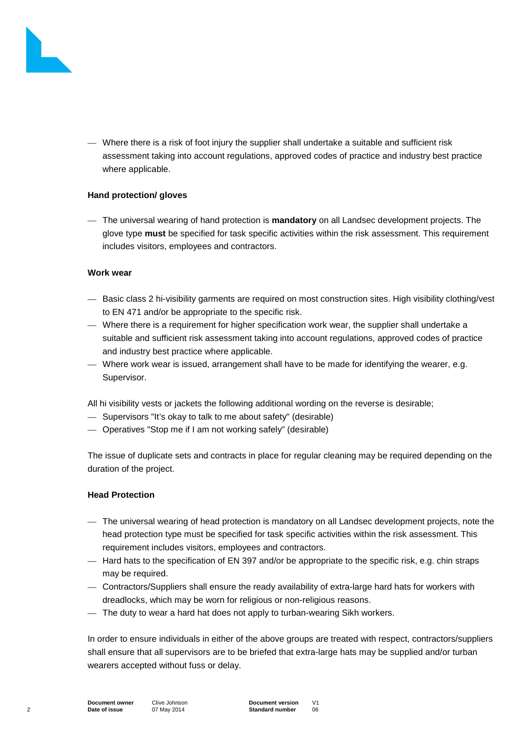

— Where there is a risk of foot injury the supplier shall undertake a suitable and sufficient risk assessment taking into account regulations, approved codes of practice and industry best practice where applicable.

## **Hand protection/ gloves**

— The universal wearing of hand protection is **mandatory** on all Landsec development projects. The glove type **must** be specified for task specific activities within the risk assessment. This requirement includes visitors, employees and contractors.

## **Work wear**

- Basic class 2 hi-visibility garments are required on most construction sites. High visibility clothing/vest to EN 471 and/or be appropriate to the specific risk.
- Where there is a requirement for higher specification work wear, the supplier shall undertake a suitable and sufficient risk assessment taking into account regulations, approved codes of practice and industry best practice where applicable.
- Where work wear is issued, arrangement shall have to be made for identifying the wearer, e.g. Supervisor.

All hi visibility vests or jackets the following additional wording on the reverse is desirable;

- Supervisors "It's okay to talk to me about safety" (desirable)
- Operatives "Stop me if I am not working safely" (desirable)

The issue of duplicate sets and contracts in place for regular cleaning may be required depending on the duration of the project.

# **Head Protection**

- The universal wearing of head protection is mandatory on all Landsec development projects, note the head protection type must be specified for task specific activities within the risk assessment. This requirement includes visitors, employees and contractors.
- Hard hats to the specification of EN 397 and/or be appropriate to the specific risk, e.g. chin straps may be required.
- Contractors/Suppliers shall ensure the ready availability of extra-large hard hats for workers with dreadlocks, which may be worn for religious or non-religious reasons.
- The duty to wear a hard hat does not apply to turban-wearing Sikh workers.

In order to ensure individuals in either of the above groups are treated with respect, contractors/suppliers shall ensure that all supervisors are to be briefed that extra-large hats may be supplied and/or turban wearers accepted without fuss or delay.